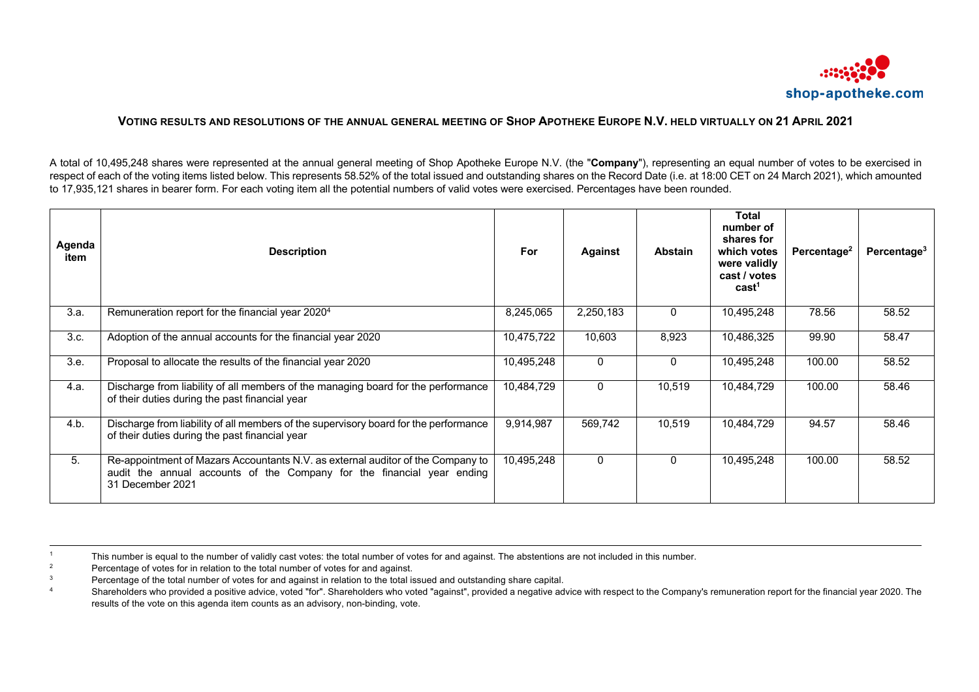

## **VOTING RESULTS AND RESOLUTIONS OF THE ANNUAL GENERAL MEETING OF SHOP APOTHEKE EUROPE N.V. HELD VIRTUALLY ON 21 APRIL 2021**

A total of 10,495,248 shares were represented at the annual general meeting of Shop Apotheke Europe N.V. (the "**Company**"), representing an equal number of votes to be exercised in respect of each of the voting items listed below. This represents 58.52% of the total issued and outstanding shares on the Record Date (i.e. at 18:00 CET on 24 March 2021), which amounted to 17,935,121 shares in bearer form. For each voting item all the potential numbers of valid votes were exercised. Percentages have been rounded.

| Agenda<br>item | <b>Description</b>                                                                                                                                                            | <b>For</b> | <b>Against</b> | <b>Abstain</b> | <b>Total</b><br>number of<br>shares for<br>which votes<br>were validly<br>cast / votes<br>cast <sup>1</sup> | Percentage <sup>2</sup> | Percentage <sup>3</sup> |
|----------------|-------------------------------------------------------------------------------------------------------------------------------------------------------------------------------|------------|----------------|----------------|-------------------------------------------------------------------------------------------------------------|-------------------------|-------------------------|
| 3.a.           | Remuneration report for the financial year 2020 <sup>4</sup>                                                                                                                  | 8,245,065  | 2,250,183      | $\Omega$       | 10,495,248                                                                                                  | 78.56                   | 58.52                   |
| 3.c.           | Adoption of the annual accounts for the financial year 2020                                                                                                                   | 10,475,722 | 10,603         | 8,923          | 10,486,325                                                                                                  | 99.90                   | 58.47                   |
| 3.e.           | Proposal to allocate the results of the financial year 2020                                                                                                                   | 10,495,248 | $\Omega$       | $\mathbf{0}$   | 10,495,248                                                                                                  | 100.00                  | 58.52                   |
| 4.a.           | Discharge from liability of all members of the managing board for the performance<br>of their duties during the past financial year                                           | 10,484,729 | $\mathbf{0}$   | 10,519         | 10,484,729                                                                                                  | 100.00                  | 58.46                   |
| 4.b.           | Discharge from liability of all members of the supervisory board for the performance<br>of their duties during the past financial year                                        | 9,914,987  | 569,742        | 10,519         | 10,484,729                                                                                                  | 94.57                   | 58.46                   |
| 5.             | Re-appointment of Mazars Accountants N.V. as external auditor of the Company to<br>audit the annual accounts of the Company for the financial year ending<br>31 December 2021 | 10,495,248 | $\Omega$       | $\Omega$       | 10,495,248                                                                                                  | 100.00                  | 58.52                   |

<sup>1</sup> This number is equal to the number of validly cast votes: the total number of votes for and against. The abstentions are not included in this number.<br>Percentage of votes for in relation to the total number of votes for

- <sup>2</sup> Percentage of votes for in relation to the total number of votes for and against.<br><sup>3</sup> Percentage of the total number of votes for and against in relation to the total is
- <sup>3</sup> Percentage of the total number of votes for and against in relation to the total issued and outstanding share capital.<br><sup>4</sup> Shareholders who provided a positive advise, voted "for". Shareholders who voted "against", pro
- Shareholders who provided a positive advice, voted "for". Shareholders who voted "against", provided a negative advice with respect to the Company's remuneration report for the financial year 2020. The results of the vote on this agenda item counts as an advisory, non-binding, vote.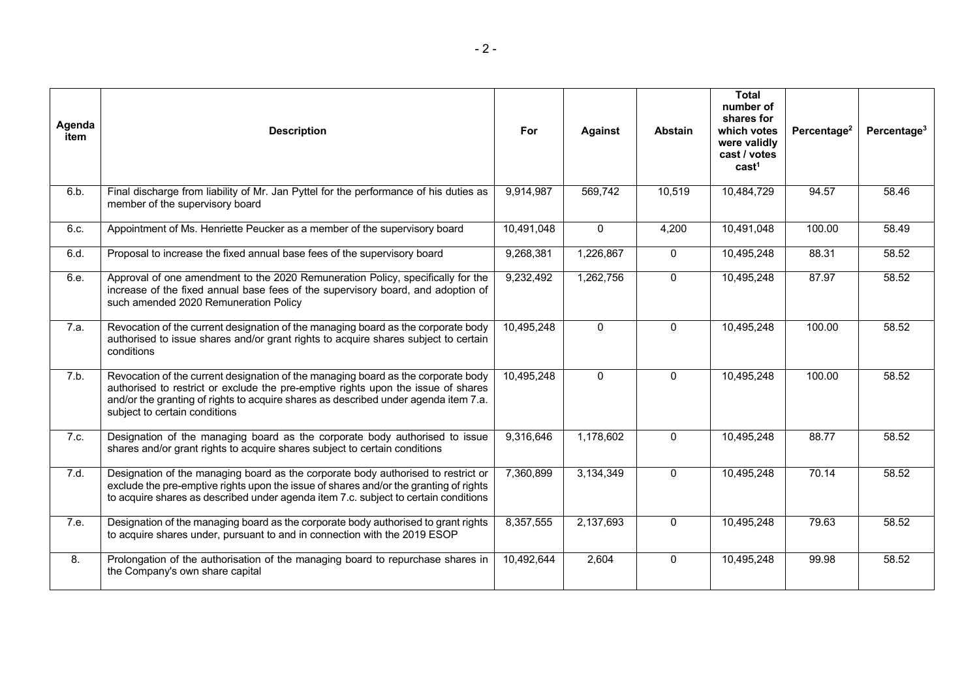| Agenda<br>item | <b>Description</b>                                                                                                                                                                                                                                                                             | For        | <b>Against</b> | <b>Abstain</b> | <b>Total</b><br>number of<br>shares for<br>which votes<br>were validly<br>cast / votes<br>cast <sup>1</sup> | Percentage <sup>2</sup> | Percentage <sup>3</sup> |
|----------------|------------------------------------------------------------------------------------------------------------------------------------------------------------------------------------------------------------------------------------------------------------------------------------------------|------------|----------------|----------------|-------------------------------------------------------------------------------------------------------------|-------------------------|-------------------------|
| 6.b.           | Final discharge from liability of Mr. Jan Pyttel for the performance of his duties as<br>member of the supervisory board                                                                                                                                                                       | 9,914,987  | 569,742        | 10,519         | 10,484,729                                                                                                  | 94.57                   | 58.46                   |
| 6.c.           | Appointment of Ms. Henriette Peucker as a member of the supervisory board                                                                                                                                                                                                                      | 10,491,048 | $\mathbf{0}$   | 4,200          | 10,491,048                                                                                                  | 100.00                  | 58.49                   |
| 6.d.           | Proposal to increase the fixed annual base fees of the supervisory board                                                                                                                                                                                                                       | 9,268,381  | 1,226,867      | $\Omega$       | 10,495,248                                                                                                  | 88.31                   | 58.52                   |
| 6.e.           | Approval of one amendment to the 2020 Remuneration Policy, specifically for the<br>increase of the fixed annual base fees of the supervisory board, and adoption of<br>such amended 2020 Remuneration Policy                                                                                   | 9,232,492  | 1,262,756      | $\Omega$       | 10,495,248                                                                                                  | 87.97                   | 58.52                   |
| 7.a.           | Revocation of the current designation of the managing board as the corporate body<br>authorised to issue shares and/or grant rights to acquire shares subject to certain<br>conditions                                                                                                         | 10,495,248 | $\mathbf 0$    | $\mathbf{0}$   | 10,495,248                                                                                                  | 100.00                  | 58.52                   |
| 7.b.           | Revocation of the current designation of the managing board as the corporate body<br>authorised to restrict or exclude the pre-emptive rights upon the issue of shares<br>and/or the granting of rights to acquire shares as described under agenda item 7.a.<br>subject to certain conditions | 10,495,248 | $\mathbf{0}$   | $\Omega$       | 10,495,248                                                                                                  | 100.00                  | 58.52                   |
| 7.c.           | Designation of the managing board as the corporate body authorised to issue<br>shares and/or grant rights to acquire shares subject to certain conditions                                                                                                                                      | 9,316,646  | 1,178,602      | $\Omega$       | 10,495,248                                                                                                  | 88.77                   | 58.52                   |
| 7.d.           | Designation of the managing board as the corporate body authorised to restrict or<br>exclude the pre-emptive rights upon the issue of shares and/or the granting of rights<br>to acquire shares as described under agenda item 7.c. subject to certain conditions                              | 7,360,899  | 3,134,349      | $\mathbf{0}$   | 10,495,248                                                                                                  | 70.14                   | 58.52                   |
| 7.e.           | Designation of the managing board as the corporate body authorised to grant rights<br>to acquire shares under, pursuant to and in connection with the 2019 ESOP                                                                                                                                | 8,357,555  | 2,137,693      | $\mathbf{0}$   | 10,495,248                                                                                                  | 79.63                   | 58.52                   |
| 8.             | Prolongation of the authorisation of the managing board to repurchase shares in<br>the Company's own share capital                                                                                                                                                                             | 10,492,644 | 2,604          | $\Omega$       | 10,495,248                                                                                                  | 99.98                   | 58.52                   |